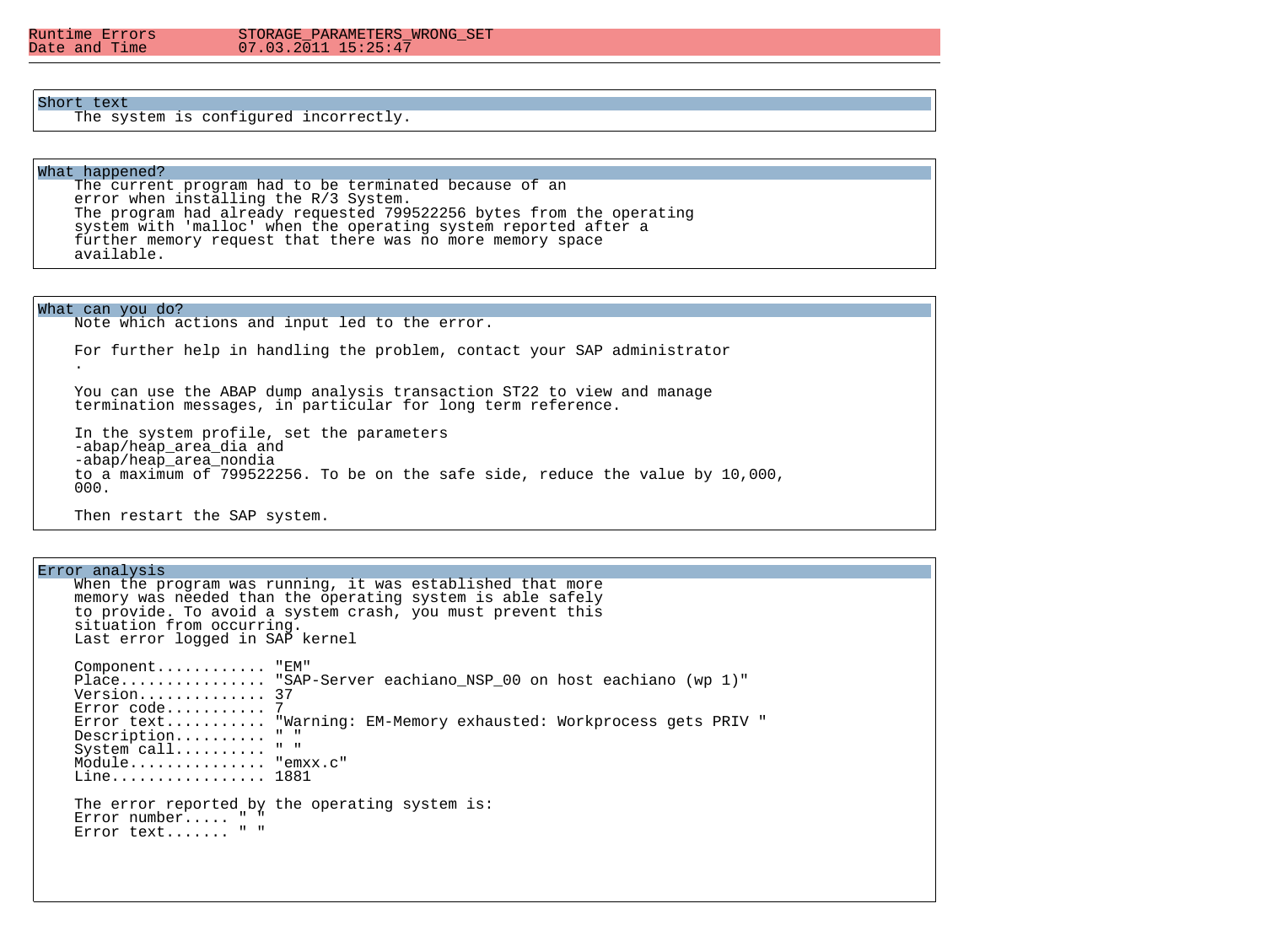#### Runtime Errors STORAGE\_PARAMETERS\_WRONG\_SET<br>Date and Time 07 03 2011 15:25:47  $07.03.2011$   $15:25:47$

## Short text

The system is configured incorrectly.

# What happened?

 The current program had to be terminated because of an error when installing the R/3 System. The program had already requested 799522256 bytes from the operating system with 'malloc' when the operating system reported after a further memory request that there was no more memory space available.

What can you do? Note which actions and input led to the error. For further help in handling the problem, contact your SAP administrator . You can use the ABAP dump analysis transaction ST22 to view and manage termination messages, in particular for long term reference. In the system profile, set the parameters -abap/heap area dia and -abap/heap\_area\_nondia to a maximum of 799522256. To be on the safe side, reduce the value by 10,000, 000.

Then restart the SAP system.

Error analysis

When the program was running, it was established that more memory was needed than the operating system is able safely to provide. To avoid a system crash, you must prevent this situation from occurring. Last error logged in SAP kernel Component............ "EM" Place................ "SAP-Server eachiano NSP 00 on host eachiano (wp 1)" Version.............. 37 Error code........... 7 Error text........... "Warning: EM-Memory exhausted: Workprocess gets PRIV " Description.......... " " System call......... " " Module............... "emxx.c" Line................. 1881 The error reported by the operating system is: Error number..... " " Error text....... " "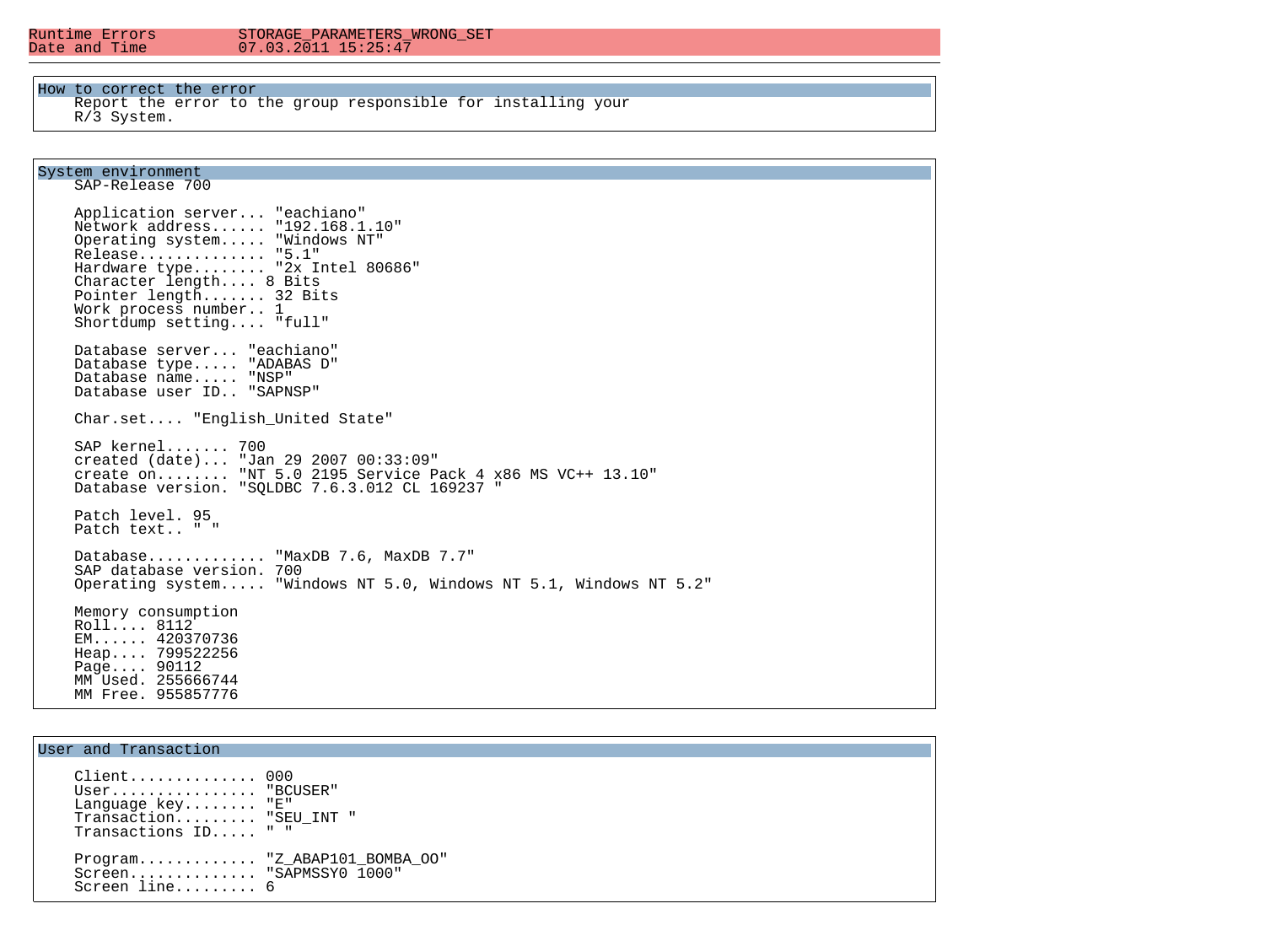#### Runtime Errors STORAGE\_PARAMETERS\_WRONG\_SET<br>Date and Time 07 03 2011 15:25:47  $07.03.2011$   $15:25:47$

### How to correct the error

 Report the error to the group responsible for installing your R/3 System.

# System environment

SAP-Release 700

 Application server... "eachiano" Network address...... "192.168.1.10" Operating system..... "Windows NT" Release.............. "5.1" Hardware type........ "2x Intel 80686" Character length.... 8 Bits Pointer length....... 32 Bits Work process number.. 1 Shortdump setting.... "full" Database server... "eachiano" Database type..... "ADABAS D" Database name..... "NSP" Database user ID.. "SAPNSP" Char.set.... "English\_United State" SAP kernel....... 700 created (date)... "Jan 29 2007 00:33:09" create on........ "NT 5.0 2195 Service Pack 4 x86 MS VC++ 13.10" Database version. "SQLDBC 7.6.3.012 CL 169237 " Patch level. 95 Patch text.. " " Database............. "MaxDB 7.6, MaxDB 7.7" SAP database version. 700 Operating system..... "Windows NT 5.0, Windows NT 5.1, Windows NT 5.2" Memory consumption Roll.... 8112 EM...... 420370736 Heap.... 799522256 Page.... 90112 MM Used. 255666744 MM Free. 955857776

# User and Transaction

Ξ

 Client.............. 000 User............... "BCUSER" Language key........ "E" Transaction......... "SEU\_INT " Transactions ID..... " " Program............. "Z\_ABAP101\_BOMBA\_OO" Screen............. "SAPMSSY0 1000" Screen line......... 6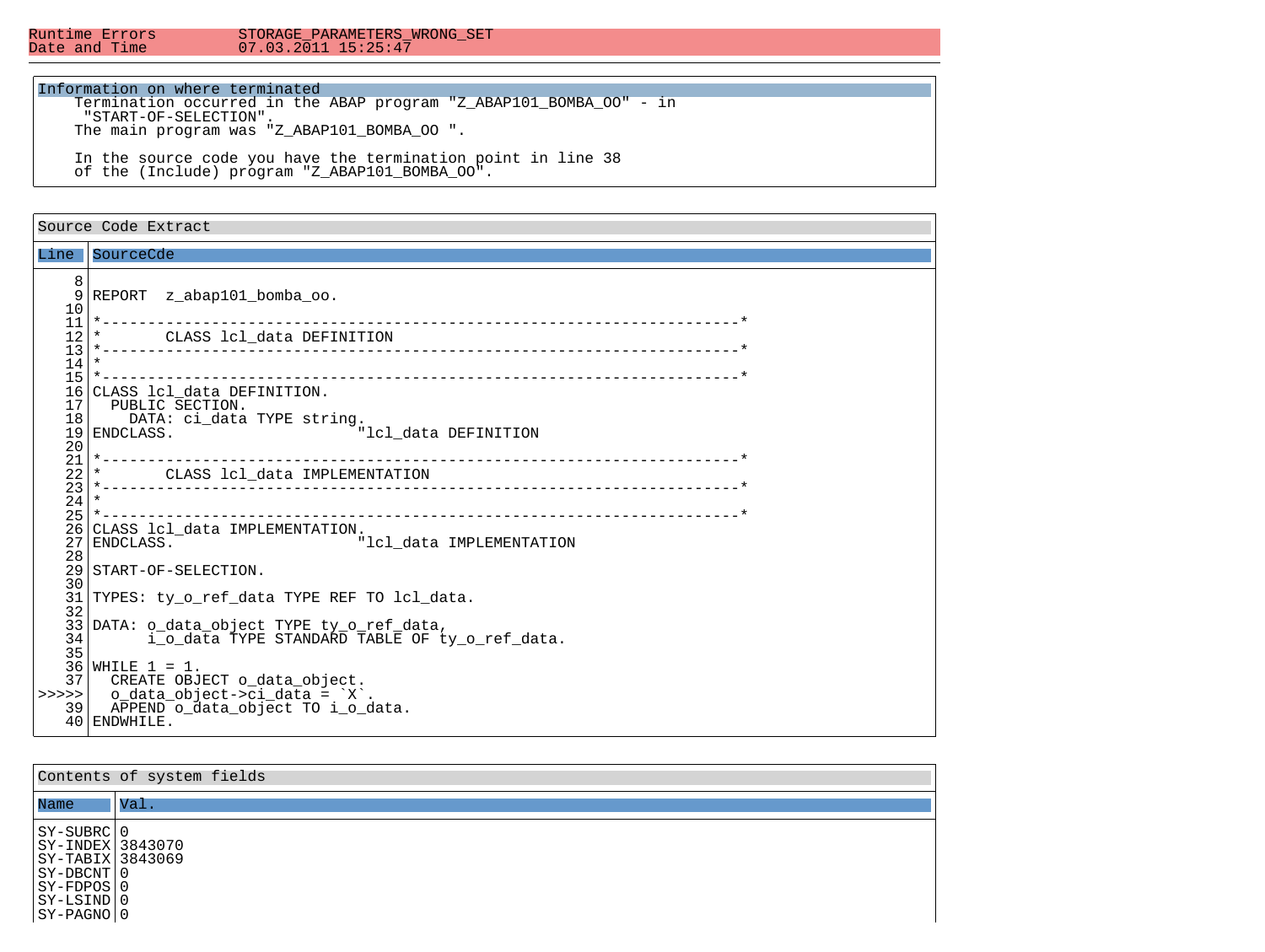Runtime Errors STORAGE\_PARAMETERS\_WRONG\_SET<br>Date and Time 07.03.2011 15:25:47  $07.03.2011$   $15:25:47$ 

### Information on where terminated

 Termination occurred in the ABAP program "Z\_ABAP101\_BOMBA\_OO" - in "START-OF-SELECTION". The main program was "Z\_ABAP101\_BOMBA\_OO ".

 In the source code you have the termination point in line 38 of the (Include) program "Z ABAP101 BOMBA OO".

## Source Code Extract Line SourceCde 8 REPORT z abap101 bomba oo. 10 11 \*----------------------------------------------------------------------\* 12 \* CLASS lcl\_data DEFINITION<br>13 \*-------------------------------- 13 \*----------------------------------------------------------------------\*  $\frac{14}{15}$  15 \*----------------------------------------------------------------------\* 16 CLASS 1c1\_data DEFINITION.<br>17 PUBLIC SECTION. 17 PUBLIC SECTION.<br>18 DATA: ci data 18 DATA: ci\_data TYPE string.<br>19 ENDCLASS. "lcl data DEFINITION  $\frac{20}{21}$  21 \*----------------------------------------------------------------------\* 22 \* CLASS lcl\_data IMPLEMENTATION 23 \*----------------------------------------------------------------------\*  $\frac{24}{25}$  25 \*----------------------------------------------------------------------\* 26 CLASS lcl\_data IMPLEMENTATION.<br>27 ENDCLASS. "lcl data IMPLEMENTATION  $\frac{28}{29}$ START-OF-SELECTION. 30 31 TYPES: ty o ref data TYPE REF TO lcl data. 32<br>33 33 DATA: o\_data\_object TYPE ty\_o\_ref\_data, i\_o\_data TYPE STANDARD TABLE OF ty\_o\_ref\_data.  $\frac{35}{36}$  $36$  WHILE  $1 = 1$ .<br>37 CREATE OBJ  $37$  CREATE OBJECT o\_data\_object.<br>>>>>> 0 data\_object->ci\_data\_= `X` >>> | o\_data\_object->ci\_data = `X`.<br>39 | APPEND o data object TO i o d APPEND o data object TO i o data. 40 ENDWHILE.

| Contents of system fields                                                                                                        |                 |  |  |  |  |  |  |
|----------------------------------------------------------------------------------------------------------------------------------|-----------------|--|--|--|--|--|--|
| Name                                                                                                                             | $\mathsf{Val}.$ |  |  |  |  |  |  |
| $ SY - SUBRC 0$<br>  SY-INDEX   3843070<br> SY-TABIX 3843069<br>$ SY-DECNT 0$<br>$ SY-FDPOS 0$<br>$ SY-LSIMD 0$<br>$ SY-PAGNO 0$ |                 |  |  |  |  |  |  |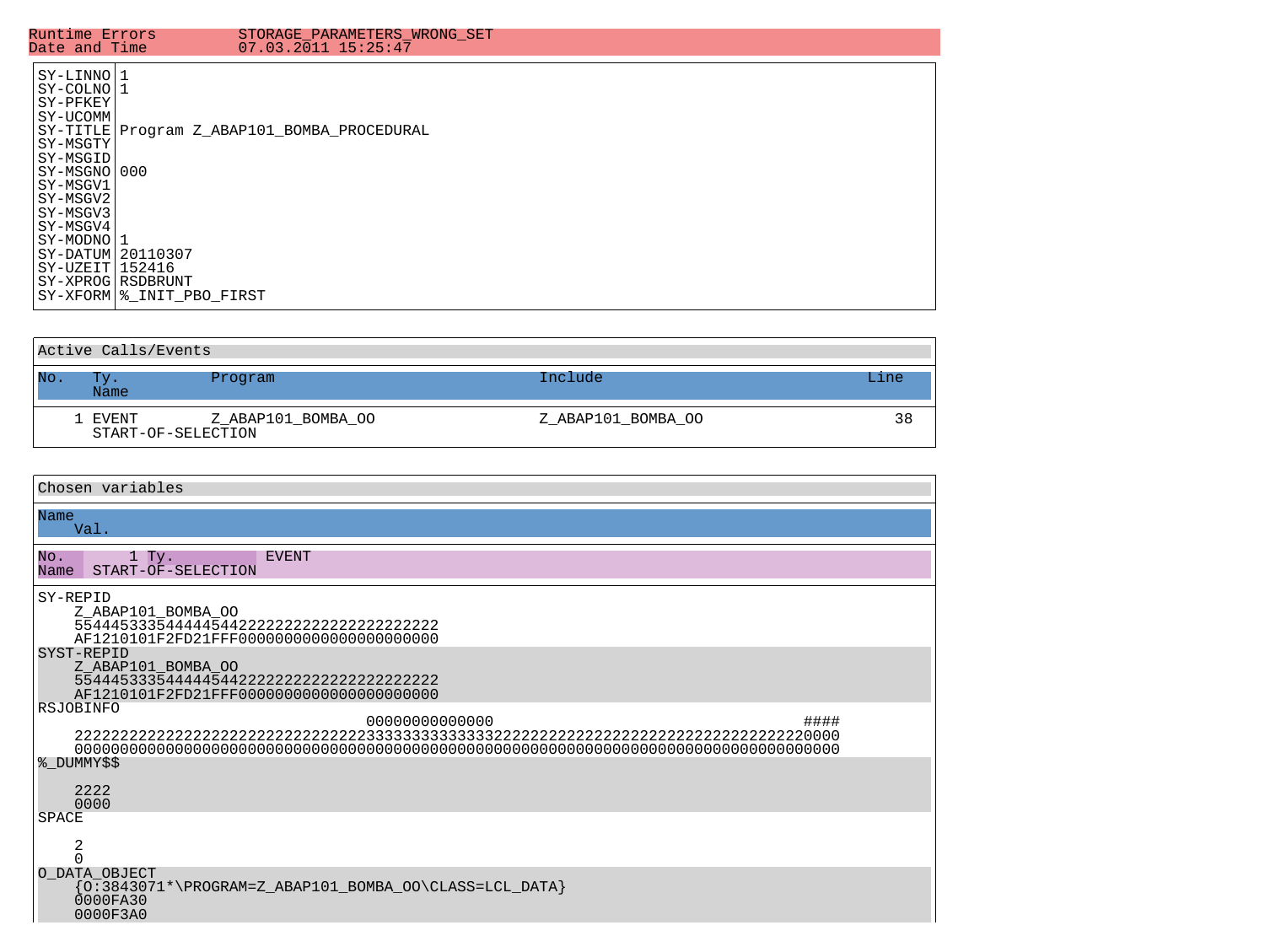| SY-LINNO 1<br>SY-COLNO11<br>SY-PFKEY<br>SY-UCOMM<br>SY-TITLE Program Z ABAP101 BOMBA PROCEDURAL<br>SY-MSGTY<br>SY-MSGID<br> SY-MSGNO 000<br>SY-MSGV1 | Runtime Errors<br>Date and Time | STORAGE PARAMETERS WRONG SET<br>$07.03.2011$ $15:25:47$ |
|------------------------------------------------------------------------------------------------------------------------------------------------------|---------------------------------|---------------------------------------------------------|
| SY-MSGV2<br>SY-MSGV3<br>SY-MSGV4<br>SY-MODNO11<br>$SY-DATUM$ 20110307<br>$SY-UZEIT1152416$<br>SY-XPROG RSDBRUNT<br>SY-XFORM   % INIT PBO FIRST       |                                 |                                                         |

| Active Calls/Events |                               |                    |                    |      |  |  |  |  |
|---------------------|-------------------------------|--------------------|--------------------|------|--|--|--|--|
| No.                 | Tv.<br>Name                   | Program            | Include            | Line |  |  |  |  |
|                     | 1 EVENT<br>START-OF-SELECTION | Z ABAP101 BOMBA OO | Z ABAP101 BOMBA OO | 38   |  |  |  |  |

| Chosen variables                                                                                                                                        |  |  |  |  |  |  |
|---------------------------------------------------------------------------------------------------------------------------------------------------------|--|--|--|--|--|--|
| Name<br>Val.                                                                                                                                            |  |  |  |  |  |  |
| No.<br>$1$ Ty.<br><b>EVENT</b><br>Name<br>START-OF-SELECTION                                                                                            |  |  |  |  |  |  |
| SY-REPID<br>Z ABAP101 BOMBA OO                                                                                                                          |  |  |  |  |  |  |
| SYST-REPID<br>Z_ABAP101_BOMBA_OO                                                                                                                        |  |  |  |  |  |  |
| RSJOBINFO<br>00000000000000<br>####                                                                                                                     |  |  |  |  |  |  |
|                                                                                                                                                         |  |  |  |  |  |  |
| % DUMMY\$\$<br>2222<br>0000                                                                                                                             |  |  |  |  |  |  |
| <b>SPACE</b>                                                                                                                                            |  |  |  |  |  |  |
| 2                                                                                                                                                       |  |  |  |  |  |  |
| O DATA OBJECT<br>$\{\texttt{0:3843071*}\text{\textbackslash} \texttt{PROGRAM=Z\_ABAP101\_BOMBA\_OO} \texttt{CLASS=LCL\_DATA}\}$<br>0000FA30<br>0000F3A0 |  |  |  |  |  |  |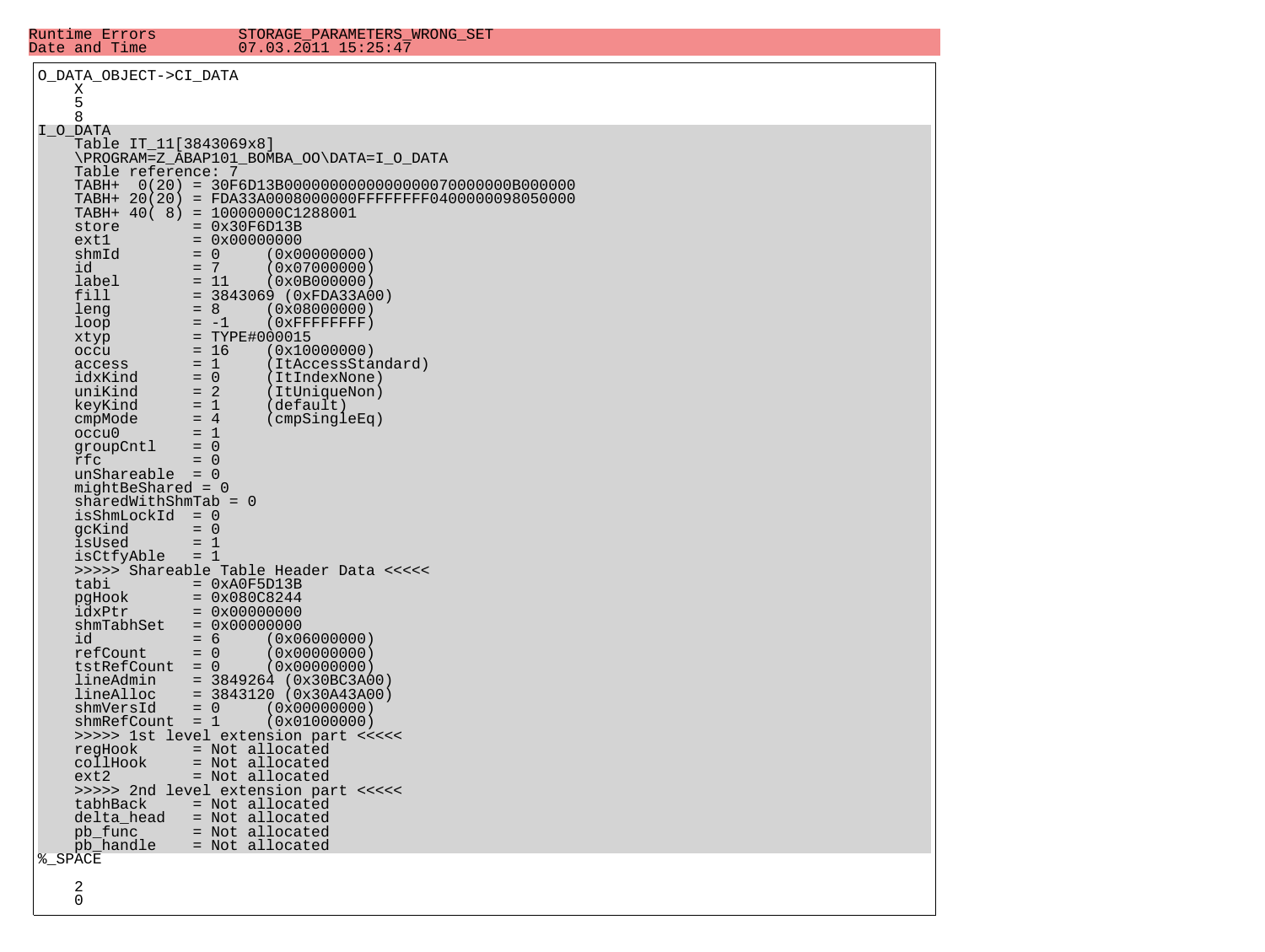| Runtime Errors<br>Date and Time             | STORAGE PARAMETERS WRONG SET<br>$07.03.2011$ $15:25:47$                                    |
|---------------------------------------------|--------------------------------------------------------------------------------------------|
| O DATA OBJECT->CI DATA                      |                                                                                            |
| Χ<br>5                                      |                                                                                            |
| 8                                           |                                                                                            |
| I O DATA<br>Table IT_11[3843069x8]          |                                                                                            |
|                                             | \PROGRAM=Z_ABAP101_BOMBA_OO\DATA=I_O_DATA                                                  |
| Table reference: 7<br>TABH+                 |                                                                                            |
|                                             | TABH+ 20(20) = FDA33A0008000000FFFFFFFF0400000098050000<br>TABH+ 40( 8) = 10000000C1288001 |
| store                                       | $= 0x30F6D13B$                                                                             |
| ext1<br>shmId                               | $= 0 \times 00000000$<br>$= 0$<br>(0x00000000)                                             |
| id                                          | $= 7$<br>(0x07000000)                                                                      |
| label<br>fill                               | $= 11$<br>(0x0B000000)<br>$= 3843069$ (0xFDA33A00)                                         |
| leng                                        | $= 8$<br>(0x08000000)                                                                      |
| loop<br>xtyp                                | $(0x$ FFFFFFFFF $)$<br>$= -1$<br>$= TYPE#000015$                                           |
| occu                                        | $= 16$<br>(0x10000000)                                                                     |
| access<br>idxKind                           | $= 1$<br>(ItAccessStandard)<br>$= 0$<br>(ItIndexNone)                                      |
| uniKind                                     | $= 2$<br>(ItUniqueNon)                                                                     |
| keyKind<br>cmpMode                          | $= 1$<br>(default)<br>$= 4$<br>(cmpSingleEq)                                               |
| occu0                                       | $= 1$                                                                                      |
| groupCntl<br>rfc                            | $= 0$<br>$= 0$                                                                             |
| $unShareable = 0$                           |                                                                                            |
| $midBeshared = 0$<br>$sharedWithShmTab = 0$ |                                                                                            |
| isShmLockId                                 | $= 0$                                                                                      |
| gcKind<br>isUsed                            | $= 0$<br>$= 1$                                                                             |
| isCtfyAble                                  | $= 1$                                                                                      |
| tabi                                        | >>>>> Shareable Table Header Data <<<<<<br>$= 0xA0F5D13B$                                  |
| pqHook<br>idxPtr                            | $= 0x080C8244$<br>$= 0x00000000$                                                           |
| shmTabhSet                                  | $= 0 \times 00000000$                                                                      |
| id<br>refCount                              | $= 6$<br>(0x06000000)<br>$= 0$<br>(0x00000000)                                             |
| $tstRefCount = 0$                           | (0x00000000)                                                                               |
| lineAdmin<br>lineAlloc                      | $= 3849264 (0x30BC3A00)$<br>$= 3843120 (0x30A43A00)$                                       |
| shmVersId                                   | $= 0$<br>(0x00000000)                                                                      |
| $shmRefCount = 1$                           | (0x01000000)<br>>>>>> 1st level extension part <<<<<                                       |
| regHook                                     | = Not allocated                                                                            |
| collHook<br>ext2                            | = Not allocated<br>= Not allocated                                                         |
|                                             | >>>>> 2nd level extension part <<<<<                                                       |
| tabhBack<br>delta_head                      | = Not allocated<br>= Not allocated                                                         |
| pb func<br>pb_handle                        | = Not allocated<br>= Not allocated                                                         |
| % SPACE                                     |                                                                                            |
| 2                                           |                                                                                            |
| $\Omega$                                    |                                                                                            |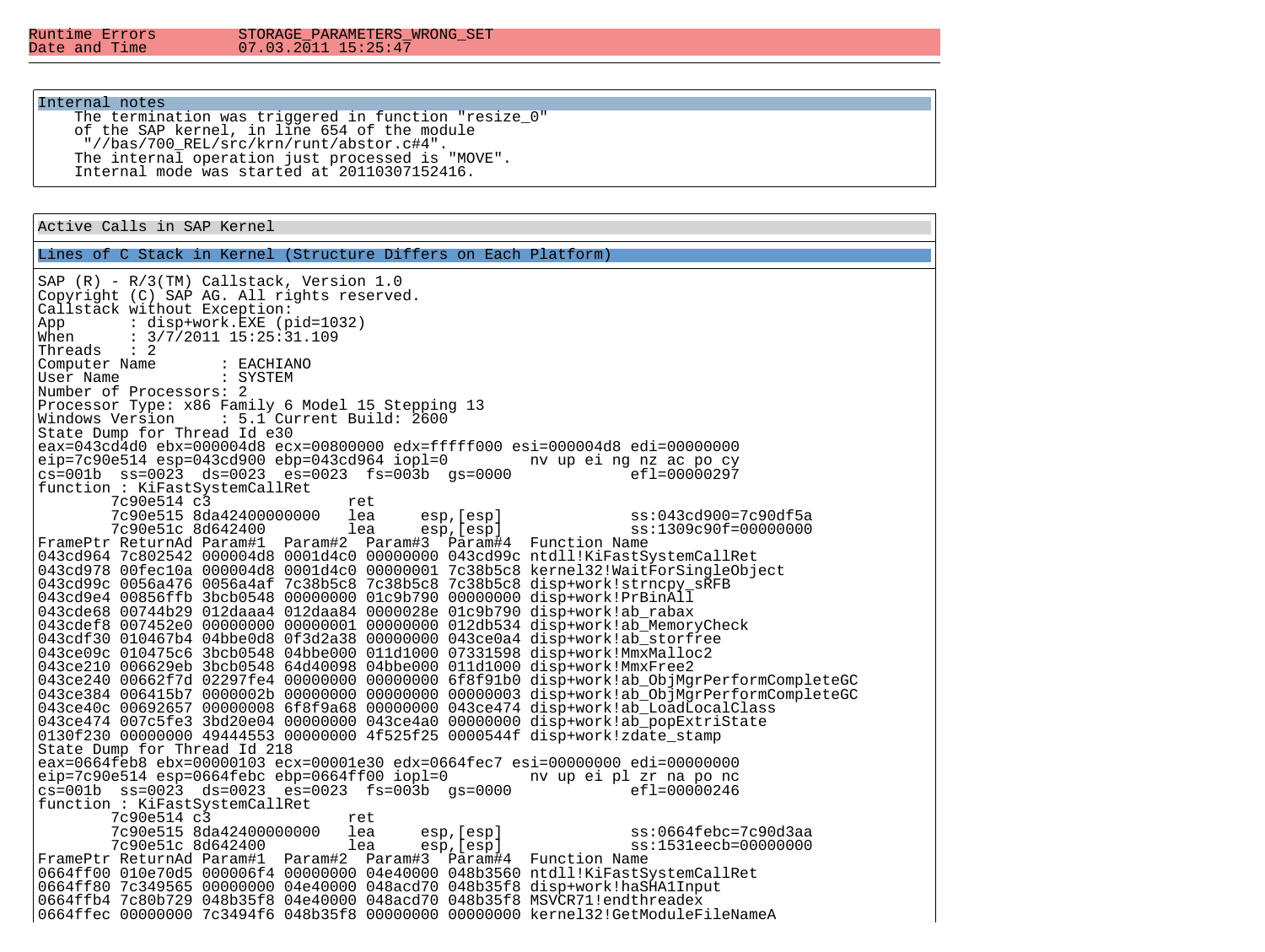Runtime Errors STORAGE\_PARAMETERS\_WRONG\_SET  $07.03.2011$   $15:25:47$ 

#### Internal notes

The termination was triggered in function "resize 0" of the SAP kernel, in line 654 of the module "//bas/700\_REL/src/krn/runt/abstor.c#4". The internal operation just processed is "MOVE". Internal mode was started at 20110307152416.

## Active Calls in SAP Kernel

Lines of C Stack in Kernel (Structure Differs on Each Platform)

SAP (R) - R/3(TM) Callstack, Version 1.0 Copyright (C) SAP AG. All rights reserved. Callstack without Exception:<br>App : disp+work.EXE (p App : disp+work.EXE (pid=1032)<br>When :  $3/7/2011$  15:25:31.109  $: 3/7/2011$   $15:25:31.109$ Threads : 2 Computer Name : EACHIANO<br>
ISer Name : SYSTEM User Name Number of Processors: 2 Processor Type: x86 Family 6 Model 15 Stepping 13<br>Windows Version : 5.1 Current Build: 2600 S.1 Current Build: 2600: State Dump for Thread Id e30 eax=043cd4d0 ebx=000004d8 ecx=00800000 edx=fffff000 esi=000004d8 edi=00000000 eip=7c90e514 esp=043cd900 ebp=043cd964 iopl=0 nv up ei ng nz ac po cy  $cs=001b$   $ss=0023$   $ds=0023$   $es=0023$   $fs=003b$   $qs=0000$ function : KiFastSystemCallRet 7c90e514 c3 ret<br>7c90e515 8da42400000000 lea 7c90e515 8da42400000000 lea esp,[esp] ss:043cd900=7c90df5a 7c90e51c 8d642400 FramePtr ReturnAd Param#1 Param#2 Param#3 Param#4 Function Name 043cd964 7c802542 000004d8 0001d4c0 00000000 043cd99c ntdll!KiFastSystemCallRet 043cd978 00fec10a 000004d8 0001d4c0 00000001 7c38b5c8 kernel32!WaitForSingleObject 043cd99c 0056a476 0056a4af 7c38b5c8 7c38b5c8 7c38b5c8 disp+work!strncpy\_sRFB 043cd9e4 00856ffb 3bcb0548 00000000 01c9b790 00000000 disp+work!PrBinAll 043cde68 00744b29 012daaa4 012daa84 0000028e 01c9b790 disp+work!ab\_rabax 043cdef8 007452e0 00000000 00000001 00000000 012db534 disp+work!ab\_MemoryCheck 043cdf30 010467b4 04bbe0d8 0f3d2a38 00000000 043ce0a4 disp+work!ab\_storfree 043ce09c 010475c6 3bcb0548 04bbe000 011d1000 07331598 disp+work!MmxMalloc2 043ce210 006629eb 3bcb0548 64d40098 04bbe000 011d1000 disp+work!MmxFree2 043ce240 00662f7d 02297fe4 00000000 00000000 6f8f91b0 disp+work!ab\_ObjMgrPerformCompleteGC 043ce384 006415b7 0000002b 00000000 00000000 00000003 disp+work!ab\_ObjMgrPerformCompleteGC 043ce40c 00692657 00000008 6f8f9a68 00000000 043ce474 disp+work!ab LoadLocalClass 043ce474 007c5fe3 3bd20e04 00000000 043ce4a0 00000000 disp+work!ab\_popExtriState 0130f230 00000000 49444553 00000000 4f525f25 0000544f disp+work!zdate\_stamp State Dump for Thread Id 218 eax=0664feb8 ebx=00000103 ecx=00001e30 edx=0664fec7 esi=00000000 edi=00000000 eip=7c90e514 esp=0664febc ebp=0664ff00 iopl=0 nv up ei pl zr na po nc  $cs=001b$   $ss=0023$   $ds=0023$   $es=0023$   $fs=003b$   $qs=0000$ function : KiFastSystemCallRet 7c90e514 c3 ret<br>7c90e515 8da42400000000 lea 7c90e515 8da42400000000 lea esp,[esp] ss:0664febc=7c90d3aa 7c90e51c 8d642400 FramePtr ReturnAd Param#1 Param#2 Param#3 Param#4 Function Name 0664ff00 010e70d5 000006f4 00000000 04e40000 048b3560 ntdll!KiFastSystemCallRet 0664ff80 7c349565 00000000 04e40000 048acd70 048b35f8 disp+work!haSHA1Input 0664ffb4 7c80b729 048b35f8 04e40000 048acd70 048b35f8 MSVCR71!endthreadex 0664ffec 00000000 7c3494f6 048b35f8 00000000 00000000 kernel32!GetModuleFileNameA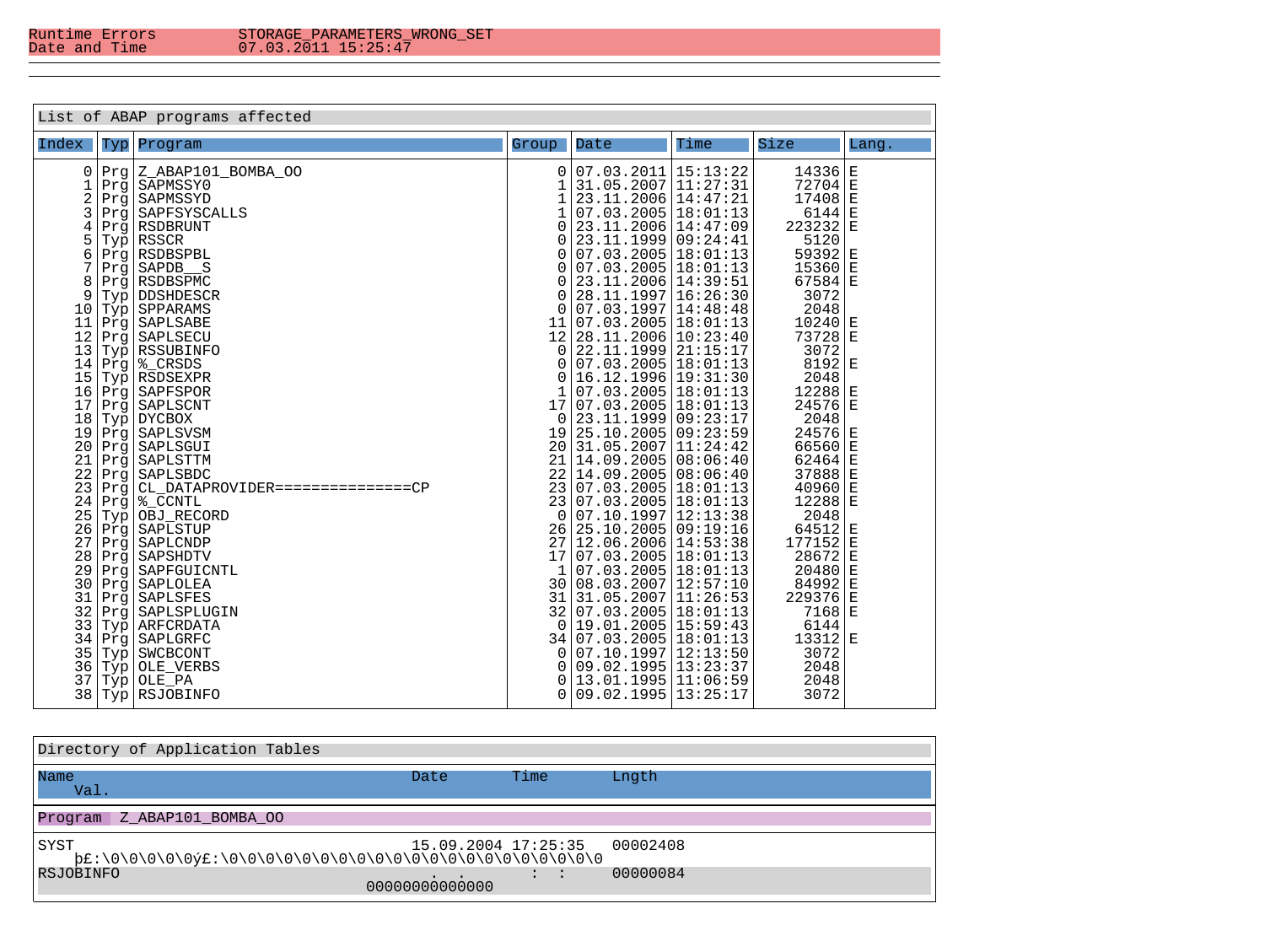| List of ABAP programs affected |            |                                  |             |                                              |      |                      |             |  |
|--------------------------------|------------|----------------------------------|-------------|----------------------------------------------|------|----------------------|-------------|--|
| Index                          | Тур        | Program                          | Group       | Date                                         | Time | Size                 | Lang.       |  |
| 0                              | Prq        | Z ABAP101 BOMBA OO               | 0           | 07.03.2011 15:13:22                          |      | 14336                | $\mathbf E$ |  |
| 1                              | Prg        | SAPMSSY0                         | 1           | 31.05.2007 11:27:31                          |      | $72704$ E            |             |  |
| $\overline{\mathbf{c}}$        | Prg        | SAPMSSYD                         | $\mathbf 1$ | 23.11.2006 14:47:21                          |      | $17408$ E            |             |  |
| 3                              | Prg        | SAPFSYSCALLS                     | 1           | 07.03.2005 18:01:13                          |      | $6144$ E             |             |  |
| 4                              | Prg        | RSDBRUNT                         | 0           | 23.11.2006 14:47:09                          |      | $223232$ E           |             |  |
| $\frac{5}{6}$                  | Typ        | <b>RSSCR</b>                     | 0           | 23.11.1999 09:24:41                          |      | 5120                 |             |  |
|                                | Prq        | RSDBSPBL                         | 0           | 07.03.2005 18:01:13                          |      | 59392                | $\mathbf E$ |  |
| 7                              | Prg        | SAPDB S                          | 0           | 07.03.2005 18:01:13                          |      | $15360$ <sup>E</sup> |             |  |
| 8                              | Prg        | RSDBSPMC                         | 0           | 23.11.2006 14:39:51                          |      | $67584$ E            |             |  |
| 9                              | Typ        | DDSHDESCR                        | 0           | 28.11.1997   16:26:30                        |      | 3072                 |             |  |
| 10                             | Typ        | SPPARAMS                         | 0           | 07.03.1997 14:48:48                          |      | 2048                 |             |  |
| 11                             | Prg        | SAPLSABE                         | 11          | 07.03.2005 18:01:13                          |      | $10240$ <sup>E</sup> |             |  |
| 12                             |            | Prg   SAPLSECU                   | 12          | 28.11.2006   10:23:40                        |      | 73728 E              |             |  |
| $13$                           | Typ        | <b>RSSUBINFO</b>                 | 0           | 22.11.1999 21:15:17                          |      | 3072                 |             |  |
| 14                             | Prg        | % CRSDS                          | 0           | 07.03.2005 18:01:13                          |      | $8192$ E             |             |  |
| 15                             | Typ        | RSDSEXPR                         | 0           | 16.12.1996 19:31:30<br>$07.03.2005$ 18:01:13 |      | 2048                 |             |  |
| 16                             |            | Prg   SAPFSPOR                   |             |                                              |      | $12288$ <sup>E</sup> |             |  |
| 17                             | Prq        | SAPLSCNT                         | 17          | 07.03.2005 18:01:13                          |      | 24576 E              |             |  |
| 18                             | Typ        | <b>DYCBOX</b>                    | 0           | 23.11.1999 09:23:17<br>25.10.2005 09:23:59   |      | 2048<br>$24576$ E    |             |  |
| 19<br>20                       | Prg        | SAPLSVSM<br>SAPLSGUI             | 19<br>20    | 31.05.2007 11:24:42                          |      | $66560 \,   \, E$    |             |  |
| 21                             | Prg        | SAPLSTTM                         | 21          | 14.09.2005 08:06:40                          |      | $62464$ E            |             |  |
| 22                             | Prg        | SAPLSBDC                         | 22          | 14.09.2005   08:06:40                        |      | 37888 E              |             |  |
| 23                             | Prg<br>Prg | CL DATAPROVIDER===============CP | 23          | $07.03.2005$ $18:01:13$                      |      | $40960$  E           |             |  |
| 24                             |            | %_CCNTL                          | 23          | 07.03.2005 18:01:13                          |      | $12288$ <sup>E</sup> |             |  |
| 25                             | Prg<br>Typ | OBJ_RECORD                       | 0           | 07.10.1997 12:13:38                          |      | 2048                 |             |  |
| 26                             | Prg        | SAPLSTUP                         | 26          | 25.10.2005 09:19:16                          |      | $64512$ E            |             |  |
| 27                             | Prg        | SAPLCNDP                         | 27          | 12.06.2006 14:53:38                          |      | 177152 E             |             |  |
| $2\sqrt{8}$                    | Prq        | SAPSHDTV                         | 17          | 07.03.2005 18:01:13                          |      | 28672                | İΕ          |  |
| 29                             | Prg        | SAPFGUICNTL                      | 1           | 07.03.2005 18:01:13                          |      | $20480$ E            |             |  |
| 30                             | Prg        | SAPLOLEA                         | 30          | 08.03.2007 12:57:10                          |      | $84992$ E            |             |  |
| 31                             | Prg        | SAPLSFES                         | 31          | 31.05.2007 11:26:53                          |      | 229376 E             |             |  |
| 32                             | Prg        | SAPLSPLUGIN                      | 32          | 07.03.2005 18:01:13                          |      | $7168$  E            |             |  |
| 33                             | Typ        | ARFCRDATA                        | 0           | 19.01.2005 15:59:43                          |      | 6144                 |             |  |
| 34                             | Prg        | SAPLGRFC                         | 34          | 07.03.2005 18:01:13                          |      | 13312 E              |             |  |
| 35                             | Typ        | SWCBCONT                         | 0           | 07.10.1997 12:13:50                          |      | 3072                 |             |  |
| 36                             | Typ        | OLE VERBS                        | 0           | 09.02.1995 13:23:37                          |      | 2048                 |             |  |
| 37                             | Typ        | OLE_PA                           | 0           | 13.01.1995 11:06:59                          |      | 2048                 |             |  |
| 38                             | Тур        | RSJOBINFO                        | 0           | 09.02.1995 13:25:17                          |      | 3072                 |             |  |

| Directory of Application Tables |                     |      |          |
|---------------------------------|---------------------|------|----------|
| Name<br>Val.                    | Date                | Time | Lngth    |
| Program<br>Z ABAP101 BOMBA OO   |                     |      |          |
| SYST                            | 15.09.2004 17:25:35 |      | 00002408 |
| RSJOBINFO                       | 00000000000000      |      | 00000084 |